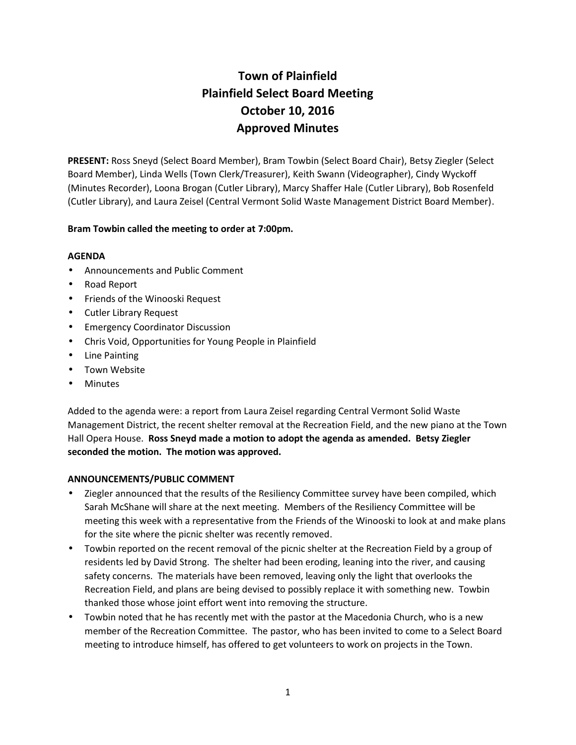# **Town of Plainfield Plainfield Select Board Meeting October 10, 2016 Approved Minutes**

**PRESENT:** Ross Sneyd (Select Board Member), Bram Towbin (Select Board Chair), Betsy Ziegler (Select Board Member), Linda Wells (Town Clerk/Treasurer), Keith Swann (Videographer), Cindy Wyckoff (Minutes Recorder), Loona Brogan (Cutler Library), Marcy Shaffer Hale (Cutler Library), Bob Rosenfeld (Cutler Library), and Laura Zeisel (Central Vermont Solid Waste Management District Board Member).

# **Bram Towbin called the meeting to order at 7:00pm.**

#### **AGENDA**

- Announcements and Public Comment
- Road Report
- Friends of the Winooski Request
- Cutler Library Request
- **Emergency Coordinator Discussion**
- Chris Void, Opportunities for Young People in Plainfield
- Line Painting
- Town Website
- Minutes

Added to the agenda were: a report from Laura Zeisel regarding Central Vermont Solid Waste Management District, the recent shelter removal at the Recreation Field, and the new piano at the Town Hall Opera House. **Ross Sneyd made a motion to adopt the agenda as amended. Betsy Ziegler seconded the motion. The motion was approved.**

#### **ANNOUNCEMENTS/PUBLIC COMMENT**

- Ziegler announced that the results of the Resiliency Committee survey have been compiled, which Sarah McShane will share at the next meeting. Members of the Resiliency Committee will be meeting this week with a representative from the Friends of the Winooski to look at and make plans for the site where the picnic shelter was recently removed.
- Towbin reported on the recent removal of the picnic shelter at the Recreation Field by a group of residents led by David Strong. The shelter had been eroding, leaning into the river, and causing safety concerns. The materials have been removed, leaving only the light that overlooks the Recreation Field, and plans are being devised to possibly replace it with something new. Towbin thanked those whose joint effort went into removing the structure.
- Towbin noted that he has recently met with the pastor at the Macedonia Church, who is a new member of the Recreation Committee. The pastor, who has been invited to come to a Select Board meeting to introduce himself, has offered to get volunteers to work on projects in the Town.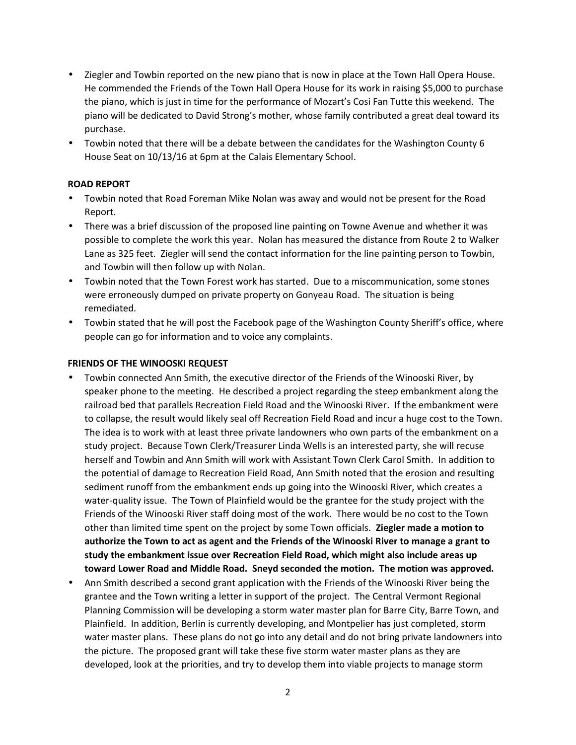- Ziegler and Towbin reported on the new piano that is now in place at the Town Hall Opera House. He commended the Friends of the Town Hall Opera House for its work in raising \$5,000 to purchase the piano, which is just in time for the performance of Mozart's Cosi Fan Tutte this weekend. The piano will be dedicated to David Strong's mother, whose family contributed a great deal toward its purchase.
- Towbin noted that there will be a debate between the candidates for the Washington County 6 House Seat on 10/13/16 at 6pm at the Calais Elementary School.

#### **ROAD REPORT**

- Towbin noted that Road Foreman Mike Nolan was away and would not be present for the Road Report.
- There was a brief discussion of the proposed line painting on Towne Avenue and whether it was possible to complete the work this year. Nolan has measured the distance from Route 2 to Walker Lane as 325 feet. Ziegler will send the contact information for the line painting person to Towbin, and Towbin will then follow up with Nolan.
- Towbin noted that the Town Forest work has started. Due to a miscommunication, some stones were erroneously dumped on private property on Gonyeau Road. The situation is being remediated.
- Towbin stated that he will post the Facebook page of the Washington County Sheriff's office, where people can go for information and to voice any complaints.

#### **FRIENDS OF THE WINOOSKI REQUEST**

- Towbin connected Ann Smith, the executive director of the Friends of the Winooski River, by speaker phone to the meeting. He described a project regarding the steep embankment along the railroad bed that parallels Recreation Field Road and the Winooski River. If the embankment were to collapse, the result would likely seal off Recreation Field Road and incur a huge cost to the Town. The idea is to work with at least three private landowners who own parts of the embankment on a study project. Because Town Clerk/Treasurer Linda Wells is an interested party, she will recuse herself and Towbin and Ann Smith will work with Assistant Town Clerk Carol Smith. In addition to the potential of damage to Recreation Field Road, Ann Smith noted that the erosion and resulting sediment runoff from the embankment ends up going into the Winooski River, which creates a water-quality issue. The Town of Plainfield would be the grantee for the study project with the Friends of the Winooski River staff doing most of the work. There would be no cost to the Town other than limited time spent on the project by some Town officials. **Ziegler made a motion to authorize the Town to act as agent and the Friends of the Winooski River to manage a grant to study the embankment issue over Recreation Field Road, which might also include areas up toward Lower Road and Middle Road. Sneyd seconded the motion. The motion was approved.**
- Ann Smith described a second grant application with the Friends of the Winooski River being the grantee and the Town writing a letter in support of the project. The Central Vermont Regional Planning Commission will be developing a storm water master plan for Barre City, Barre Town, and Plainfield. In addition, Berlin is currently developing, and Montpelier has just completed, storm water master plans. These plans do not go into any detail and do not bring private landowners into the picture. The proposed grant will take these five storm water master plans as they are developed, look at the priorities, and try to develop them into viable projects to manage storm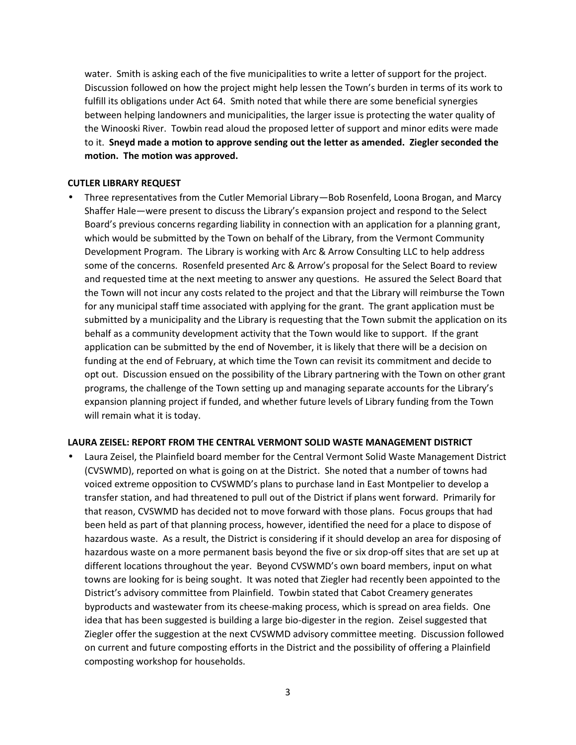water. Smith is asking each of the five municipalities to write a letter of support for the project. Discussion followed on how the project might help lessen the Town's burden in terms of its work to fulfill its obligations under Act 64. Smith noted that while there are some beneficial synergies between helping landowners and municipalities, the larger issue is protecting the water quality of the Winooski River. Towbin read aloud the proposed letter of support and minor edits were made to it. **Sneyd made a motion to approve sending out the letter as amended. Ziegler seconded the motion. The motion was approved.**

#### **CUTLER LIBRARY REQUEST**

 Three representatives from the Cutler Memorial Library—Bob Rosenfeld, Loona Brogan, and Marcy Shaffer Hale—were present to discuss the Library's expansion project and respond to the Select Board's previous concerns regarding liability in connection with an application for a planning grant, which would be submitted by the Town on behalf of the Library, from the Vermont Community Development Program. The Library is working with Arc & Arrow Consulting LLC to help address some of the concerns. Rosenfeld presented Arc & Arrow's proposal for the Select Board to review and requested time at the next meeting to answer any questions. He assured the Select Board that the Town will not incur any costs related to the project and that the Library will reimburse the Town for any municipal staff time associated with applying for the grant. The grant application must be submitted by a municipality and the Library is requesting that the Town submit the application on its behalf as a community development activity that the Town would like to support. If the grant application can be submitted by the end of November, it is likely that there will be a decision on funding at the end of February, at which time the Town can revisit its commitment and decide to opt out. Discussion ensued on the possibility of the Library partnering with the Town on other grant programs, the challenge of the Town setting up and managing separate accounts for the Library's expansion planning project if funded, and whether future levels of Library funding from the Town will remain what it is today.

#### **LAURA ZEISEL: REPORT FROM THE CENTRAL VERMONT SOLID WASTE MANAGEMENT DISTRICT**

 Laura Zeisel, the Plainfield board member for the Central Vermont Solid Waste Management District (CVSWMD), reported on what is going on at the District. She noted that a number of towns had voiced extreme opposition to CVSWMD's plans to purchase land in East Montpelier to develop a transfer station, and had threatened to pull out of the District if plans went forward. Primarily for that reason, CVSWMD has decided not to move forward with those plans. Focus groups that had been held as part of that planning process, however, identified the need for a place to dispose of hazardous waste. As a result, the District is considering if it should develop an area for disposing of hazardous waste on a more permanent basis beyond the five or six drop-off sites that are set up at different locations throughout the year. Beyond CVSWMD's own board members, input on what towns are looking for is being sought. It was noted that Ziegler had recently been appointed to the District's advisory committee from Plainfield. Towbin stated that Cabot Creamery generates byproducts and wastewater from its cheese-making process, which is spread on area fields. One idea that has been suggested is building a large bio-digester in the region. Zeisel suggested that Ziegler offer the suggestion at the next CVSWMD advisory committee meeting. Discussion followed on current and future composting efforts in the District and the possibility of offering a Plainfield composting workshop for households.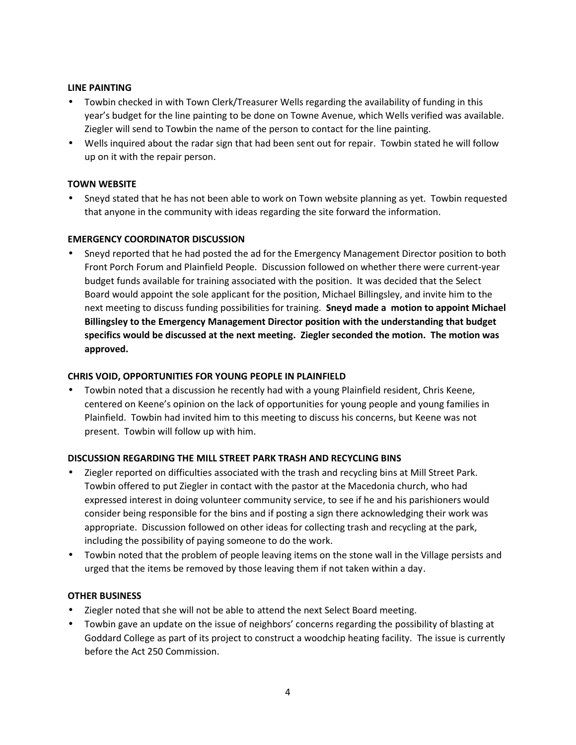#### **LINE PAINTING**

- Towbin checked in with Town Clerk/Treasurer Wells regarding the availability of funding in this year's budget for the line painting to be done on Towne Avenue, which Wells verified was available. Ziegler will send to Towbin the name of the person to contact for the line painting.
- Wells inquired about the radar sign that had been sent out for repair. Towbin stated he will follow up on it with the repair person.

# **TOWN WEBSITE**

 Sneyd stated that he has not been able to work on Town website planning as yet. Towbin requested that anyone in the community with ideas regarding the site forward the information.

# **EMERGENCY COORDINATOR DISCUSSION**

 Sneyd reported that he had posted the ad for the Emergency Management Director position to both Front Porch Forum and Plainfield People. Discussion followed on whether there were current-year budget funds available for training associated with the position. It was decided that the Select Board would appoint the sole applicant for the position, Michael Billingsley, and invite him to the next meeting to discuss funding possibilities for training. **Sneyd made a motion to appoint Michael Billingsley to the Emergency Management Director position with the understanding that budget specifics would be discussed at the next meeting. Ziegler seconded the motion. The motion was approved.**

### **CHRIS VOID, OPPORTUNITIES FOR YOUNG PEOPLE IN PLAINFIELD**

 Towbin noted that a discussion he recently had with a young Plainfield resident, Chris Keene, centered on Keene's opinion on the lack of opportunities for young people and young families in Plainfield. Towbin had invited him to this meeting to discuss his concerns, but Keene was not present. Towbin will follow up with him.

#### **DISCUSSION REGARDING THE MILL STREET PARK TRASH AND RECYCLING BINS**

- Ziegler reported on difficulties associated with the trash and recycling bins at Mill Street Park. Towbin offered to put Ziegler in contact with the pastor at the Macedonia church, who had expressed interest in doing volunteer community service, to see if he and his parishioners would consider being responsible for the bins and if posting a sign there acknowledging their work was appropriate. Discussion followed on other ideas for collecting trash and recycling at the park, including the possibility of paying someone to do the work.
- Towbin noted that the problem of people leaving items on the stone wall in the Village persists and urged that the items be removed by those leaving them if not taken within a day.

#### **OTHER BUSINESS**

- Ziegler noted that she will not be able to attend the next Select Board meeting.
- Towbin gave an update on the issue of neighbors' concerns regarding the possibility of blasting at Goddard College as part of its project to construct a woodchip heating facility. The issue is currently before the Act 250 Commission.